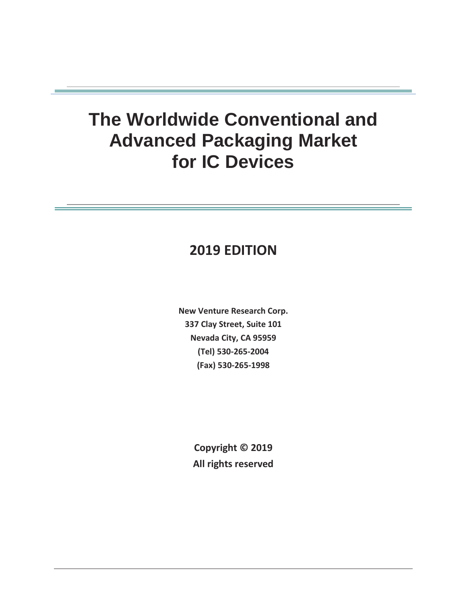# **The Worldwide Conventional and Advanced Packaging Market for IC Devices**

# **2019 EDITION**

**New Venture Research Corp. 337 Clay Street, Suite 101 Nevada City, CA 95959 (Tel) 530-265-2004 (Fax) 530-265-1998** 

> **Copyright © 2019 All rights reserved**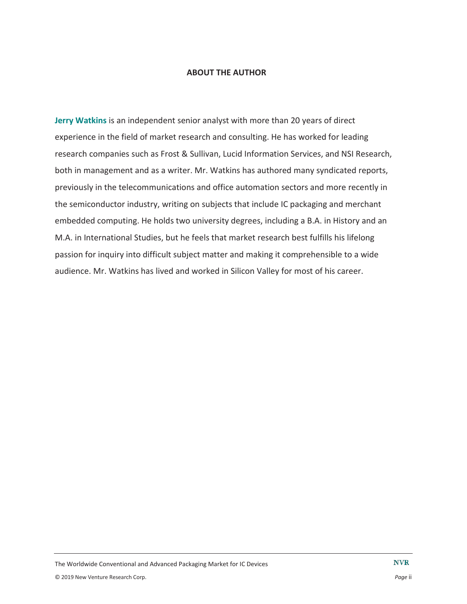#### **ABOUT THE AUTHOR**

**Jerry Watkins** is an independent senior analyst with more than 20 years of direct experience in the field of market research and consulting. He has worked for leading research companies such as Frost & Sullivan, Lucid Information Services, and NSI Research, both in management and as a writer. Mr. Watkins has authored many syndicated reports, previously in the telecommunications and office automation sectors and more recently in the semiconductor industry, writing on subjects that include IC packaging and merchant embedded computing. He holds two university degrees, including a B.A. in History and an M.A. in International Studies, but he feels that market research best fulfills his lifelong passion for inquiry into difficult subject matter and making it comprehensible to a wide audience. Mr. Watkins has lived and worked in Silicon Valley for most of his career.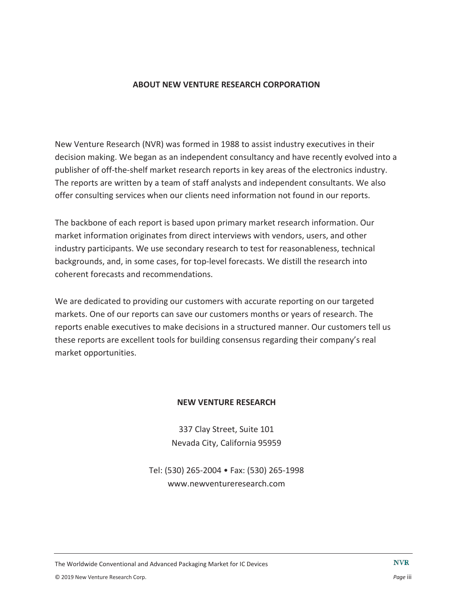### **ABOUT NEW VENTURE RESEARCH CORPORATION**

New Venture Research (NVR) was formed in 1988 to assist industry executives in their decision making. We began as an independent consultancy and have recently evolved into a publisher of off-the-shelf market research reports in key areas of the electronics industry. The reports are written by a team of staff analysts and independent consultants. We also offer consulting services when our clients need information not found in our reports.

The backbone of each report is based upon primary market research information. Our market information originates from direct interviews with vendors, users, and other industry participants. We use secondary research to test for reasonableness, technical backgrounds, and, in some cases, for top-level forecasts. We distill the research into coherent forecasts and recommendations.

We are dedicated to providing our customers with accurate reporting on our targeted markets. One of our reports can save our customers months or years of research. The reports enable executives to make decisions in a structured manner. Our customers tell us these reports are excellent tools for building consensus regarding their company's real market opportunities.

#### **NEW VENTURE RESEARCH**

337 Clay Street, Suite 101 Nevada City, California 95959

Tel: (530) 265-2004 • Fax: (530) 265-1998 www.newventureresearch.com

The Worldwide Conventional and Advanced Packaging Market for IC Devices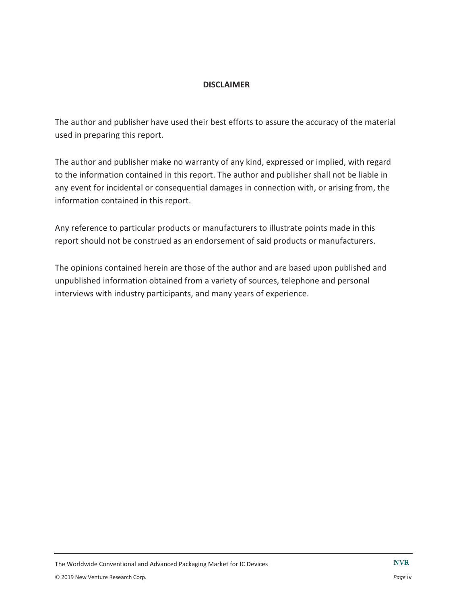### **DISCLAIMER**

The author and publisher have used their best efforts to assure the accuracy of the material used in preparing this report.

The author and publisher make no warranty of any kind, expressed or implied, with regard to the information contained in this report. The author and publisher shall not be liable in any event for incidental or consequential damages in connection with, or arising from, the information contained in this report.

Any reference to particular products or manufacturers to illustrate points made in this report should not be construed as an endorsement of said products or manufacturers.

The opinions contained herein are those of the author and are based upon published and unpublished information obtained from a variety of sources, telephone and personal interviews with industry participants, and many years of experience.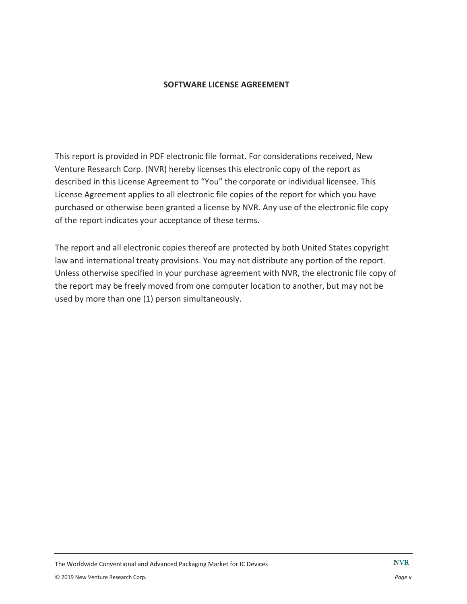### **SOFTWARE LICENSE AGREEMENT**

This report is provided in PDF electronic file format. For considerations received, New Venture Research Corp. (NVR) hereby licenses this electronic copy of the report as described in this License Agreement to "You" the corporate or individual licensee. This License Agreement applies to all electronic file copies of the report for which you have purchased or otherwise been granted a license by NVR. Any use of the electronic file copy of the report indicates your acceptance of these terms.

The report and all electronic copies thereof are protected by both United States copyright law and international treaty provisions. You may not distribute any portion of the report. Unless otherwise specified in your purchase agreement with NVR, the electronic file copy of the report may be freely moved from one computer location to another, but may not be used by more than one (1) person simultaneously.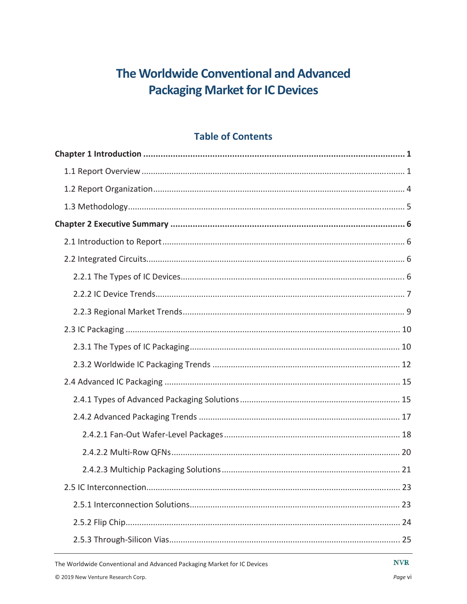# The Worldwide Conventional and Advanced **Packaging Market for IC Devices**

## **Table of Contents**

**NVR**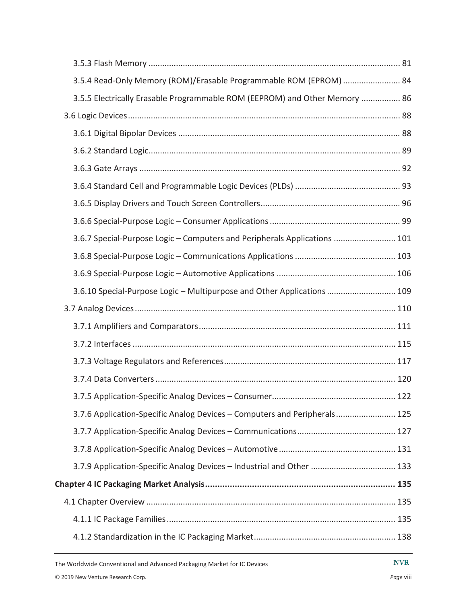| 3.5.4 Read-Only Memory (ROM)/Erasable Programmable ROM (EPROM)  84         |  |
|----------------------------------------------------------------------------|--|
| 3.5.5 Electrically Erasable Programmable ROM (EEPROM) and Other Memory  86 |  |
|                                                                            |  |
|                                                                            |  |
|                                                                            |  |
|                                                                            |  |
|                                                                            |  |
|                                                                            |  |
|                                                                            |  |
| 3.6.7 Special-Purpose Logic - Computers and Peripherals Applications  101  |  |
|                                                                            |  |
|                                                                            |  |
| 3.6.10 Special-Purpose Logic - Multipurpose and Other Applications  109    |  |
|                                                                            |  |
|                                                                            |  |
|                                                                            |  |
|                                                                            |  |
|                                                                            |  |
|                                                                            |  |
| 3.7.6 Application-Specific Analog Devices - Computers and Peripherals 125  |  |
|                                                                            |  |
|                                                                            |  |
| 3.7.9 Application-Specific Analog Devices - Industrial and Other  133      |  |
|                                                                            |  |
|                                                                            |  |
|                                                                            |  |
|                                                                            |  |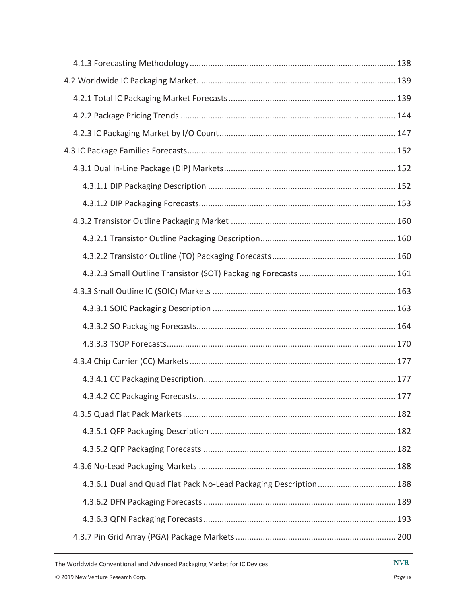| 4.3.6.1 Dual and Quad Flat Pack No-Lead Packaging Description 188 |
|-------------------------------------------------------------------|
|                                                                   |
|                                                                   |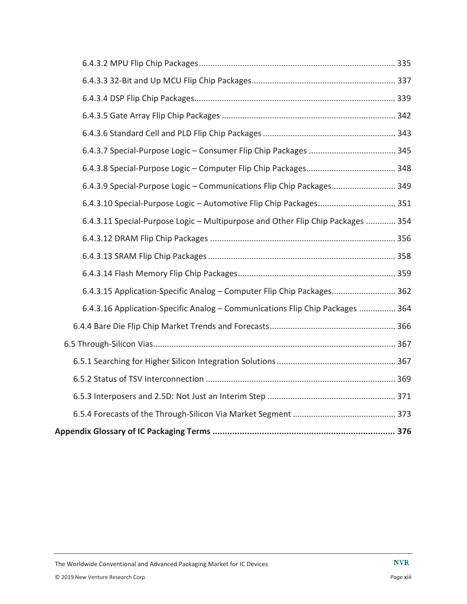| 6.4.3.9 Special-Purpose Logic - Communications Flip Chip Packages 349           |  |
|---------------------------------------------------------------------------------|--|
|                                                                                 |  |
| 6.4.3.11 Special-Purpose Logic - Multipurpose and Other Flip Chip Packages  354 |  |
|                                                                                 |  |
|                                                                                 |  |
|                                                                                 |  |
| 6.4.3.15 Application-Specific Analog - Computer Flip Chip Packages 362          |  |
| 6.4.3.16 Application-Specific Analog - Communications Flip Chip Packages  364   |  |
|                                                                                 |  |
|                                                                                 |  |
|                                                                                 |  |
|                                                                                 |  |
|                                                                                 |  |
|                                                                                 |  |
|                                                                                 |  |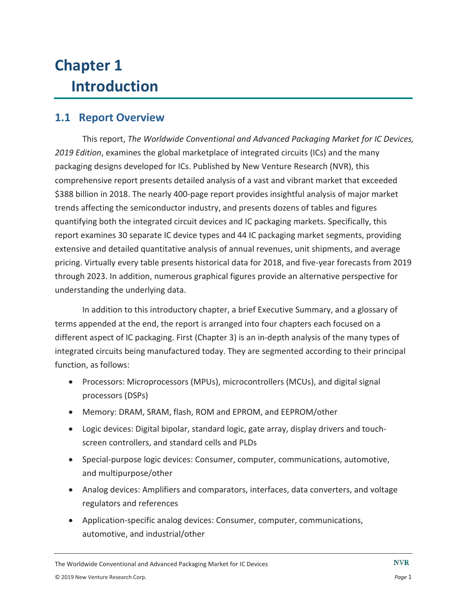# **Chapter 1 Introduction**

## **1.1 Report Overview**

This report, *The Worldwide Conventional and Advanced Packaging Market for IC Devices, 2019 Edition*, examines the global marketplace of integrated circuits (ICs) and the many packaging designs developed for ICs. Published by New Venture Research (NVR), this comprehensive report presents detailed analysis of a vast and vibrant market that exceeded \$388 billion in 2018. The nearly 400-page report provides insightful analysis of major market trends affecting the semiconductor industry, and presents dozens of tables and figures quantifying both the integrated circuit devices and IC packaging markets. Specifically, this report examines 30 separate IC device types and 44 IC packaging market segments, providing extensive and detailed quantitative analysis of annual revenues, unit shipments, and average pricing. Virtually every table presents historical data for 2018, and five-year forecasts from 2019 through 2023. In addition, numerous graphical figures provide an alternative perspective for understanding the underlying data.

In addition to this introductory chapter, a brief Executive Summary, and a glossary of terms appended at the end, the report is arranged into four chapters each focused on a different aspect of IC packaging. First (Chapter 3) is an in-depth analysis of the many types of integrated circuits being manufactured today. They are segmented according to their principal function, as follows:

- Processors: Microprocessors (MPUs), microcontrollers (MCUs), and digital signal processors (DSPs)
- Memory: DRAM, SRAM, flash, ROM and EPROM, and EEPROM/other
- Logic devices: Digital bipolar, standard logic, gate array, display drivers and touchscreen controllers, and standard cells and PLDs
- Special-purpose logic devices: Consumer, computer, communications, automotive, and multipurpose/other
- Analog devices: Amplifiers and comparators, interfaces, data converters, and voltage regulators and references
- Application-specific analog devices: Consumer, computer, communications, automotive, and industrial/other

The Worldwide Conventional and Advanced Packaging Market for IC Devices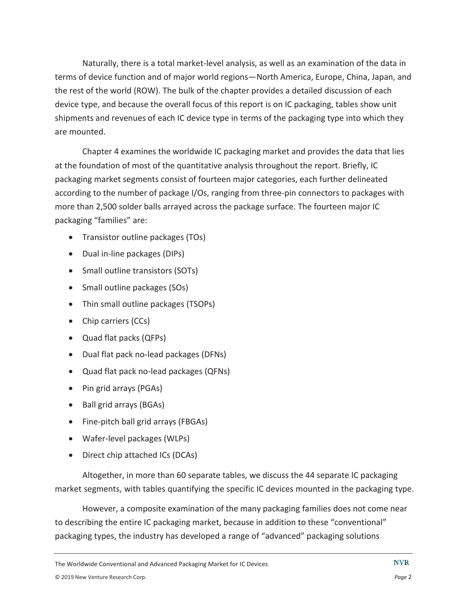Naturally, there is a total market-level analysis, as well as an examination of the data in terms of device function and of major world regions—North America, Europe, China, Japan, and the rest of the world (ROW). The bulk of the chapter provides a detailed discussion of each device type, and because the overall focus of this report is on IC packaging, tables show unit shipments and revenues of each IC device type in terms of the packaging type into which they are mounted.

Chapter 4 examines the worldwide IC packaging market and provides the data that lies at the foundation of most of the quantitative analysis throughout the report. Briefly, IC packaging market segments consist of fourteen major categories, each further delineated according to the number of package I/Os, ranging from three-pin connectors to packages with more than 2,500 solder balls arrayed across the package surface. The fourteen major IC packaging "families" are:

- Transistor outline packages (TOs)
- Dual in-line packages (DIPs)
- Small outline transistors (SOTs)
- Small outline packages (SOs)
- Thin small outline packages (TSOPs)
- $\bullet$  Chip carriers (CCs)
- Quad flat packs (QFPs)
- Dual flat pack no-lead packages (DFNs)
- Quad flat pack no-lead packages (QFNs)
- $\bullet$  Pin grid arrays (PGAs)
- Ball grid arrays (BGAs)
- Fine-pitch ball grid arrays (FBGAs)
- Wafer-level packages (WLPs)
- Direct chip attached ICs (DCAs)

Altogether, in more than 60 separate tables, we discuss the 44 separate IC packaging market segments, with tables quantifying the specific IC devices mounted in the packaging type.

However, a composite examination of the many packaging families does not come near to describing the entire IC packaging market, because in addition to these "conventional" packaging types, the industry has developed a range of "advanced" packaging solutions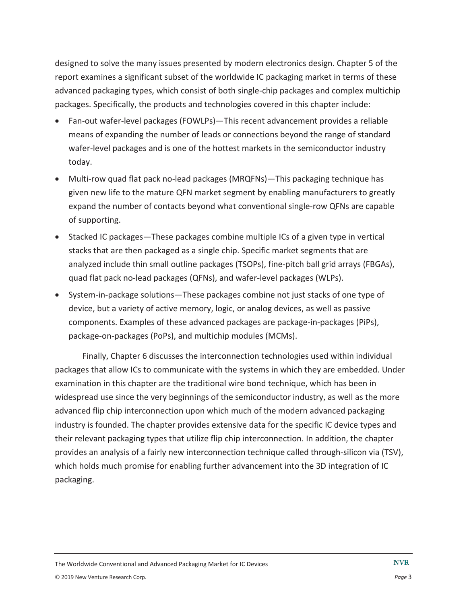designed to solve the many issues presented by modern electronics design. Chapter 5 of the report examines a significant subset of the worldwide IC packaging market in terms of these advanced packaging types, which consist of both single-chip packages and complex multichip packages. Specifically, the products and technologies covered in this chapter include:

- Fan-out wafer-level packages (FOWLPs)—This recent advancement provides a reliable means of expanding the number of leads or connections beyond the range of standard wafer-level packages and is one of the hottest markets in the semiconductor industry today.
- Multi-row quad flat pack no-lead packages (MRQFNs)—This packaging technique has given new life to the mature QFN market segment by enabling manufacturers to greatly expand the number of contacts beyond what conventional single-row QFNs are capable of supporting.
- Stacked IC packages—These packages combine multiple ICs of a given type in vertical stacks that are then packaged as a single chip. Specific market segments that are analyzed include thin small outline packages (TSOPs), fine-pitch ball grid arrays (FBGAs), quad flat pack no-lead packages (QFNs), and wafer-level packages (WLPs).
- System-in-package solutions—These packages combine not just stacks of one type of device, but a variety of active memory, logic, or analog devices, as well as passive components. Examples of these advanced packages are package-in-packages (PiPs), package-on-packages (PoPs), and multichip modules (MCMs).

Finally, Chapter 6 discusses the interconnection technologies used within individual packages that allow ICs to communicate with the systems in which they are embedded. Under examination in this chapter are the traditional wire bond technique, which has been in widespread use since the very beginnings of the semiconductor industry, as well as the more advanced flip chip interconnection upon which much of the modern advanced packaging industry is founded. The chapter provides extensive data for the specific IC device types and their relevant packaging types that utilize flip chip interconnection. In addition, the chapter provides an analysis of a fairly new interconnection technique called through-silicon via (TSV), which holds much promise for enabling further advancement into the 3D integration of IC packaging.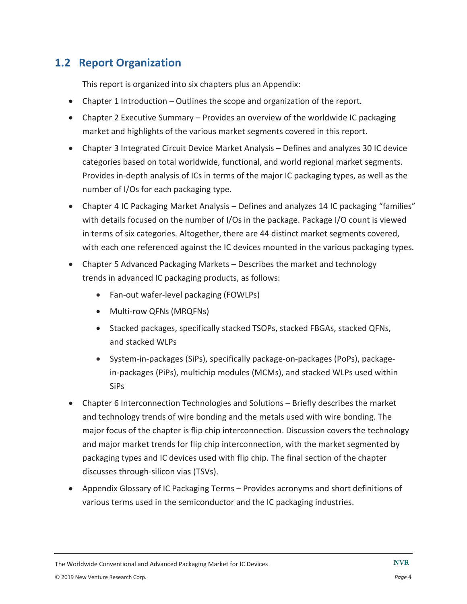## **1.2 Report Organization**

This report is organized into six chapters plus an Appendix:

- $\bullet$  Chapter 1 Introduction Outlines the scope and organization of the report.
- Chapter 2 Executive Summary Provides an overview of the worldwide IC packaging market and highlights of the various market segments covered in this report.
- Chapter 3 Integrated Circuit Device Market Analysis Defines and analyzes 30 IC device categories based on total worldwide, functional, and world regional market segments. Provides in-depth analysis of ICs in terms of the major IC packaging types, as well as the number of I/Os for each packaging type.
- Chapter 4 IC Packaging Market Analysis Defines and analyzes 14 IC packaging "families" with details focused on the number of I/Os in the package. Package I/O count is viewed in terms of six categories. Altogether, there are 44 distinct market segments covered, with each one referenced against the IC devices mounted in the various packaging types.
- Chapter 5 Advanced Packaging Markets Describes the market and technology trends in advanced IC packaging products, as follows:
	- Fan-out wafer-level packaging (FOWLPs)
	- Multi-row QFNs (MRQFNs)
	- Stacked packages, specifically stacked TSOPs, stacked FBGAs, stacked QFNs, and stacked WLPs
	- System-in-packages (SiPs), specifically package-on-packages (PoPs), packagein-packages (PiPs), multichip modules (MCMs), and stacked WLPs used within SiPs
- Chapter 6 Interconnection Technologies and Solutions Briefly describes the market and technology trends of wire bonding and the metals used with wire bonding. The major focus of the chapter is flip chip interconnection. Discussion covers the technology and major market trends for flip chip interconnection, with the market segmented by packaging types and IC devices used with flip chip. The final section of the chapter discusses through-silicon vias (TSVs).
- Appendix Glossary of IC Packaging Terms Provides acronyms and short definitions of various terms used in the semiconductor and the IC packaging industries.

The Worldwide Conventional and Advanced Packaging Market for IC Devices